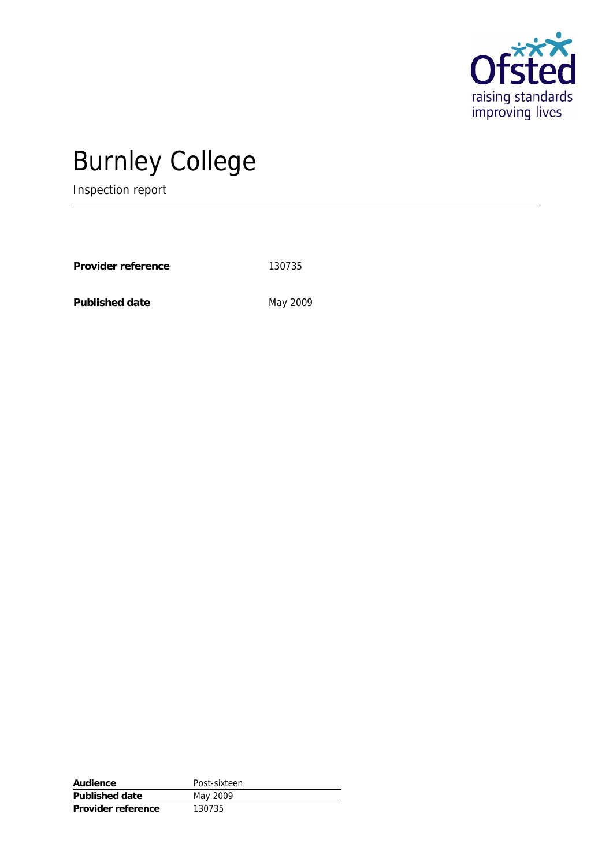

# Burnley College

Inspection report

Provider reference 130735

Published date May 2009

| Audience           | Post-sixteen |
|--------------------|--------------|
| Published date     | May 2009     |
| Provider reference | 130735       |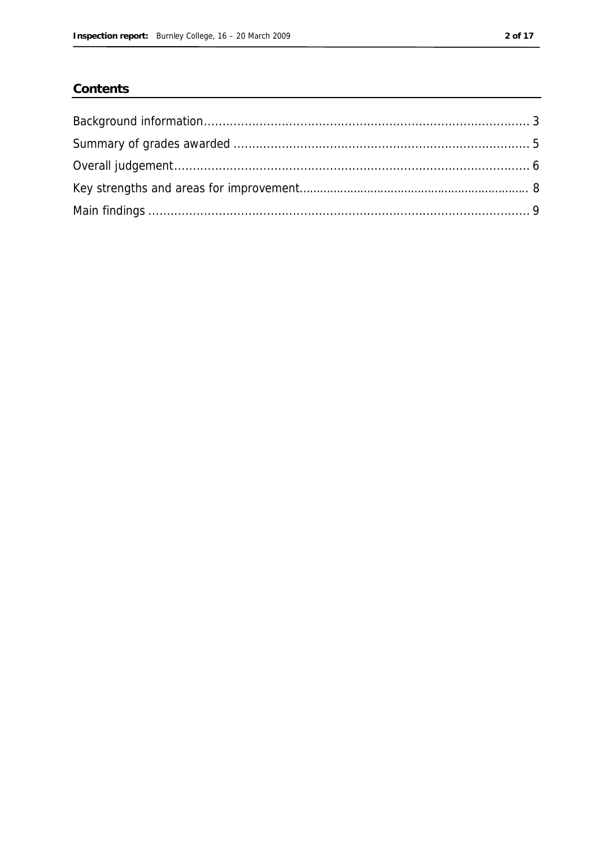#### Contents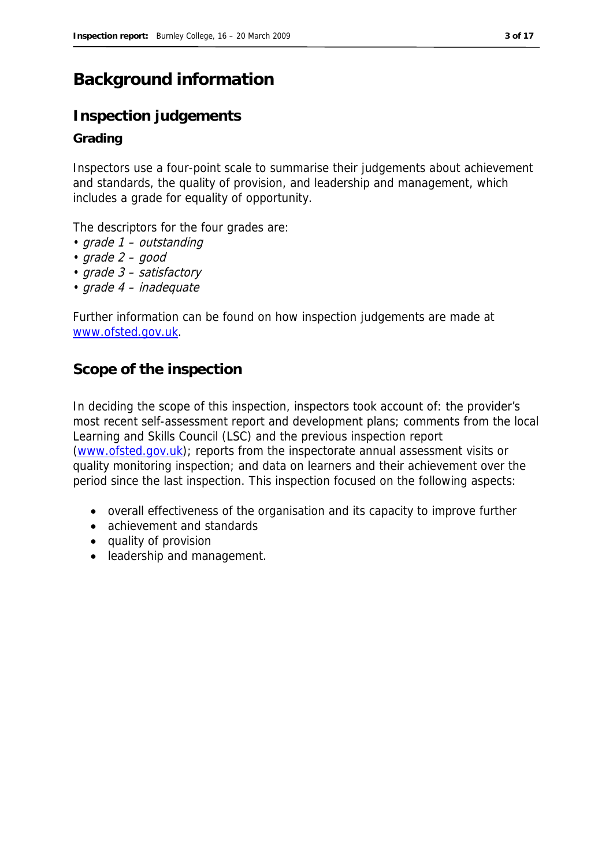## **Background information**

### **Inspection judgements**

#### **Grading**

Inspectors use a four-point scale to summarise their judgements about achievement and standards, the quality of provision, and leadership and management, which includes a grade for equality of opportunity.

The descriptors for the four grades are:

- grade 1 outstanding
- grade 2 good
- grade 3 satisfactory
- grade 4 inadequate

Further information can be found on how inspection judgements are made at www.ofsted.gov.uk.

#### **Scope of the inspection**

In deciding the scope of this inspection, inspectors took account of: the provider's most recent self-assessment report and development plans; comments from the local Learning and Skills Council (LSC) and the previous inspection report (www.ofsted.gov.uk); reports from the inspectorate annual assessment visits or quality monitoring inspection; and data on learners and their achievement over the period since the last inspection. This inspection focused on the following aspects:

- overall effectiveness of the organisation and its capacity to improve further
- achievement and standards
- quality of provision
- leadership and management.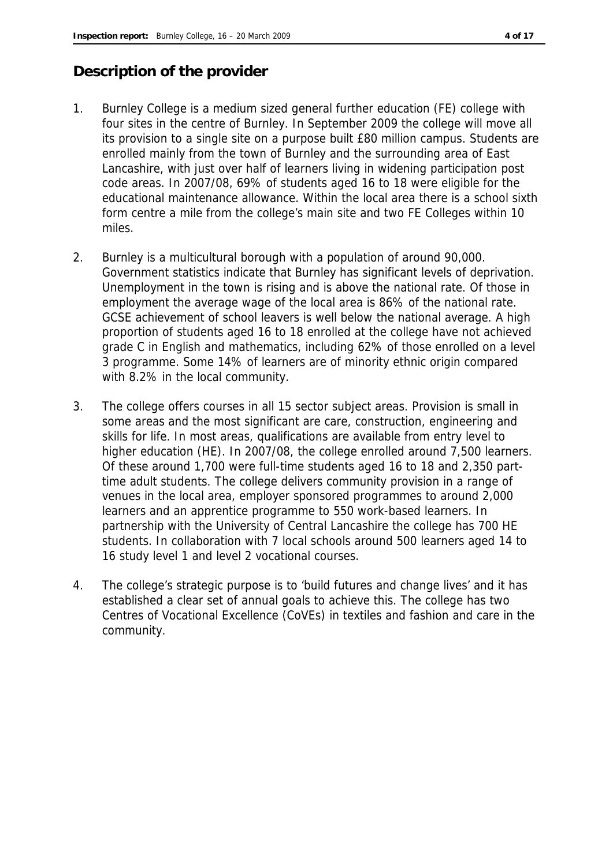### **Description of the provider**

- 1. Burnley College is a medium sized general further education (FE) college with four sites in the centre of Burnley. In September 2009 the college will move all its provision to a single site on a purpose built £80 million campus. Students are enrolled mainly from the town of Burnley and the surrounding area of East Lancashire, with just over half of learners living in widening participation post code areas. In 2007/08, 69% of students aged 16 to 18 were eligible for the educational maintenance allowance. Within the local area there is a school sixth form centre a mile from the college's main site and two FE Colleges within 10 miles.
- 2. Burnley is a multicultural borough with a population of around 90,000. Government statistics indicate that Burnley has significant levels of deprivation. Unemployment in the town is rising and is above the national rate. Of those in employment the average wage of the local area is 86% of the national rate. GCSE achievement of school leavers is well below the national average. A high proportion of students aged 16 to 18 enrolled at the college have not achieved grade C in English and mathematics, including 62% of those enrolled on a level 3 programme. Some 14% of learners are of minority ethnic origin compared with 8.2% in the local community.
- 3. The college offers courses in all 15 sector subject areas. Provision is small in some areas and the most significant are care, construction, engineering and skills for life. In most areas, qualifications are available from entry level to higher education (HE). In 2007/08, the college enrolled around 7,500 learners. Of these around 1,700 were full-time students aged 16 to 18 and 2,350 parttime adult students. The college delivers community provision in a range of venues in the local area, employer sponsored programmes to around 2,000 learners and an apprentice programme to 550 work-based learners. In partnership with the University of Central Lancashire the college has 700 HE students. In collaboration with 7 local schools around 500 learners aged 14 to 16 study level 1 and level 2 vocational courses.
- 4. The college's strategic purpose is to 'build futures and change lives' and it has established a clear set of annual goals to achieve this. The college has two Centres of Vocational Excellence (CoVEs) in textiles and fashion and care in the community.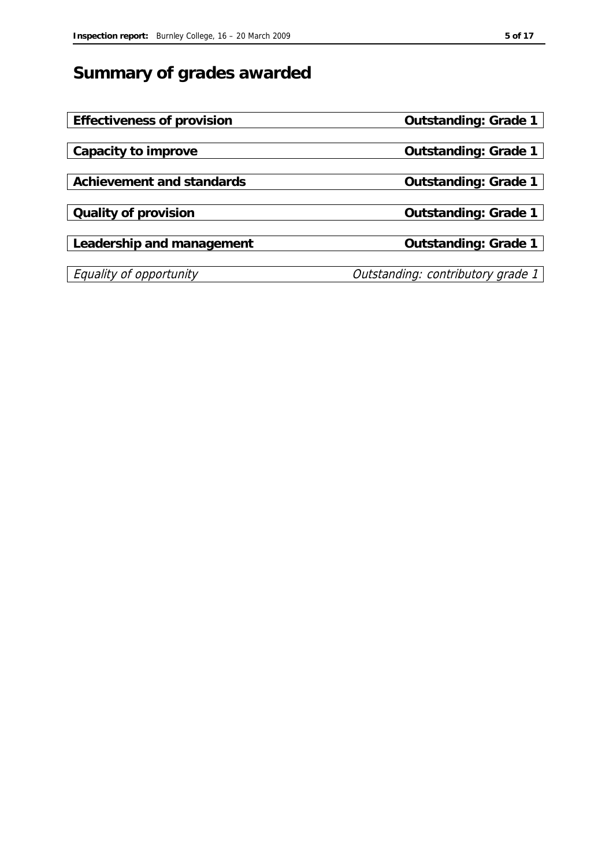# **Summary of grades awarded**

| Effectiveness of provision | Outstanding: Grade 1              |
|----------------------------|-----------------------------------|
|                            |                                   |
| Capacity to improve        | Outstanding: Grade 1              |
|                            |                                   |
| Achievement and standards  | Outstanding: Grade 1              |
|                            |                                   |
| Quality of provision       | Outstanding: Grade 1              |
|                            |                                   |
| Leadership and management  | Outstanding: Grade 1              |
|                            |                                   |
| Equality of opportunity    | Outstanding: contributory grade 1 |
|                            |                                   |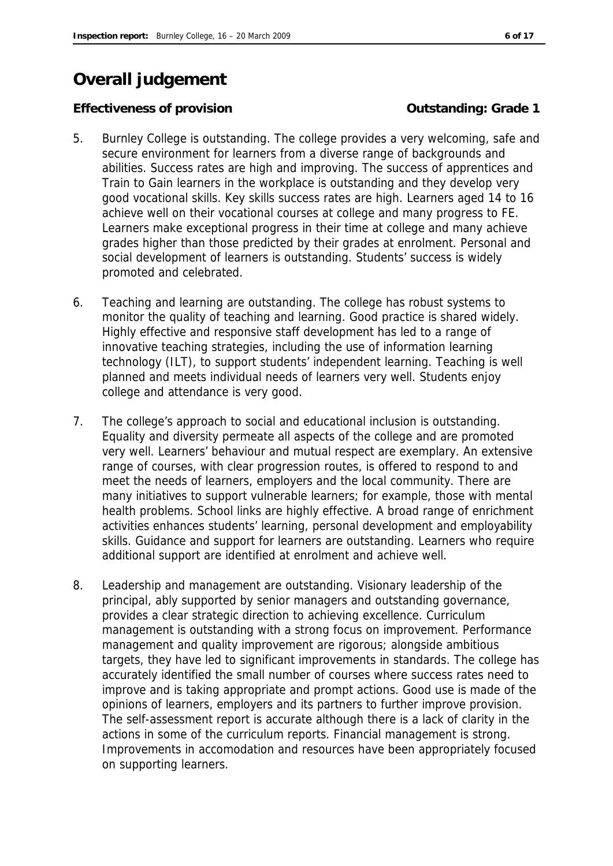# **Overall judgement**

#### **Effectiveness of provision** *COUTS* **COUTS COUTS COUTS COUTS COUTS COUTS COUTS COUTS COUTS COUTS COUTS COUTS COUTS COUTS COUTS COUTS COUTS COUTS COUTS COUTS COUTS COUTS COUTS**

- 5. Burnley College is outstanding. The college provides a very welcoming, safe and secure environment for learners from a diverse range of backgrounds and abilities. Success rates are high and improving. The success of apprentices and Train to Gain learners in the workplace is outstanding and they develop very good vocational skills. Key skills success rates are high. Learners aged 14 to 16 achieve well on their vocational courses at college and many progress to FE. Learners make exceptional progress in their time at college and many achieve grades higher than those predicted by their grades at enrolment. Personal and social development of learners is outstanding. Students' success is widely promoted and celebrated.
- 6. Teaching and learning are outstanding. The college has robust systems to monitor the quality of teaching and learning. Good practice is shared widely. Highly effective and responsive staff development has led to a range of innovative teaching strategies, including the use of information learning technology (ILT), to support students' independent learning. Teaching is well planned and meets individual needs of learners very well. Students enjoy college and attendance is very good.
- 7. The college's approach to social and educational inclusion is outstanding. Equality and diversity permeate all aspects of the college and are promoted very well. Learners' behaviour and mutual respect are exemplary. An extensive range of courses, with clear progression routes, is offered to respond to and meet the needs of learners, employers and the local community. There are many initiatives to support vulnerable learners; for example, those with mental health problems. School links are highly effective. A broad range of enrichment activities enhances students' learning, personal development and employability skills. Guidance and support for learners are outstanding. Learners who require additional support are identified at enrolment and achieve well.
- 8. Leadership and management are outstanding. Visionary leadership of the principal, ably supported by senior managers and outstanding governance, provides a clear strategic direction to achieving excellence. Curriculum management is outstanding with a strong focus on improvement. Performance management and quality improvement are rigorous; alongside ambitious targets, they have led to significant improvements in standards. The college has accurately identified the small number of courses where success rates need to improve and is taking appropriate and prompt actions. Good use is made of the opinions of learners, employers and its partners to further improve provision. The self-assessment report is accurate although there is a lack of clarity in the actions in some of the curriculum reports. Financial management is strong. Improvements in accomodation and resources have been appropriately focused on supporting learners.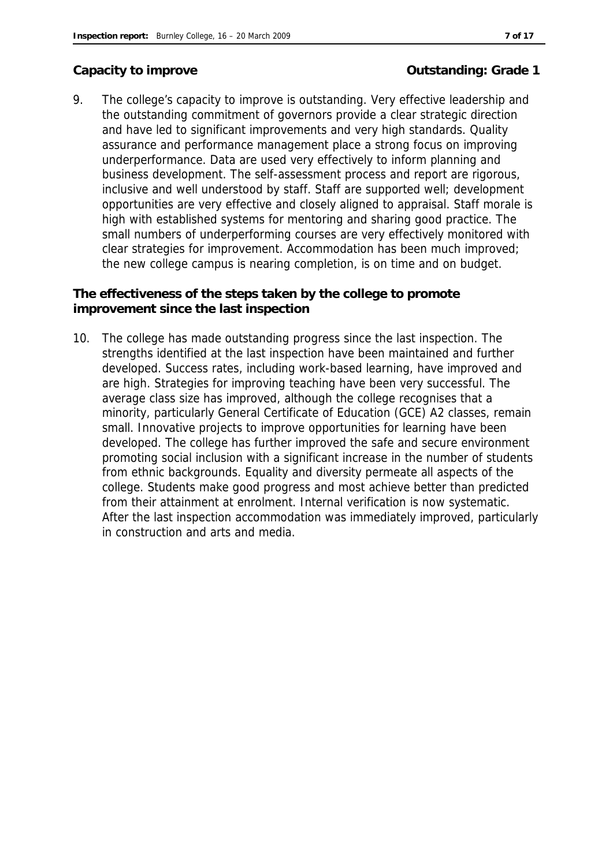### Capacity to improve **Capacity to improve Capacity** to improve

9. The college's capacity to improve is outstanding. Very effective leadership and the outstanding commitment of governors provide a clear strategic direction and have led to significant improvements and very high standards. Quality assurance and performance management place a strong focus on improving underperformance. Data are used very effectively to inform planning and business development. The self-assessment process and report are rigorous, inclusive and well understood by staff. Staff are supported well; development opportunities are very effective and closely aligned to appraisal. Staff morale is high with established systems for mentoring and sharing good practice. The small numbers of underperforming courses are very effectively monitored with clear strategies for improvement. Accommodation has been much improved; the new college campus is nearing completion, is on time and on budget.

**The effectiveness of the steps taken by the college to promote improvement since the last inspection**

10. The college has made outstanding progress since the last inspection. The strengths identified at the last inspection have been maintained and further developed. Success rates, including work-based learning, have improved and are high. Strategies for improving teaching have been very successful. The average class size has improved, although the college recognises that a minority, particularly General Certificate of Education (GCE) A2 classes, remain small. Innovative projects to improve opportunities for learning have been developed. The college has further improved the safe and secure environment promoting social inclusion with a significant increase in the number of students from ethnic backgrounds. Equality and diversity permeate all aspects of the college. Students make good progress and most achieve better than predicted from their attainment at enrolment. Internal verification is now systematic. After the last inspection accommodation was immediately improved, particularly in construction and arts and media.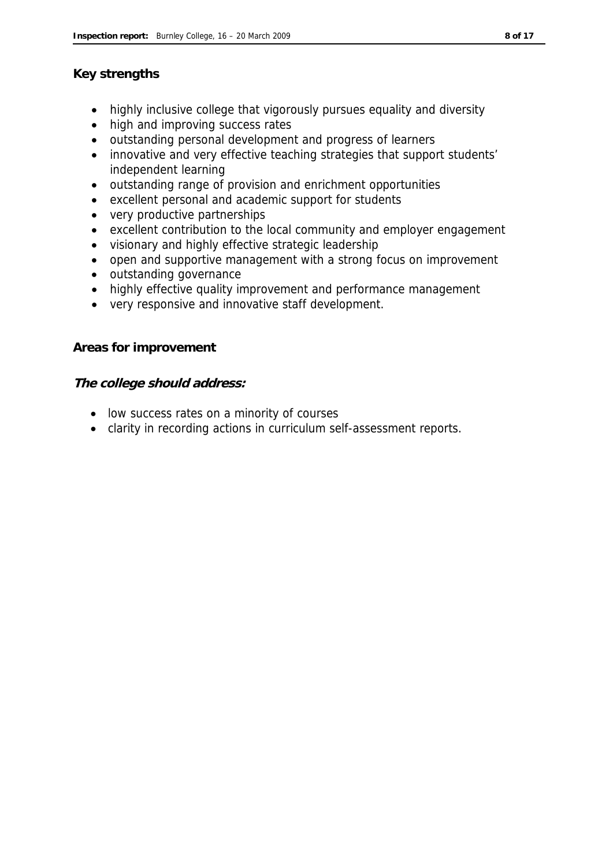#### **Key strengths**

- highly inclusive college that vigorously pursues equality and diversity
- high and improving success rates
- outstanding personal development and progress of learners
- innovative and very effective teaching strategies that support students' independent learning
- outstanding range of provision and enrichment opportunities
- excellent personal and academic support for students
- very productive partnerships
- excellent contribution to the local community and employer engagement
- visionary and highly effective strategic leadership
- open and supportive management with a strong focus on improvement
- outstanding governance
- highly effective quality improvement and performance management
- very responsive and innovative staff development.

**Areas for improvement**

**The college should address:**

- low success rates on a minority of courses
- clarity in recording actions in curriculum self-assessment reports.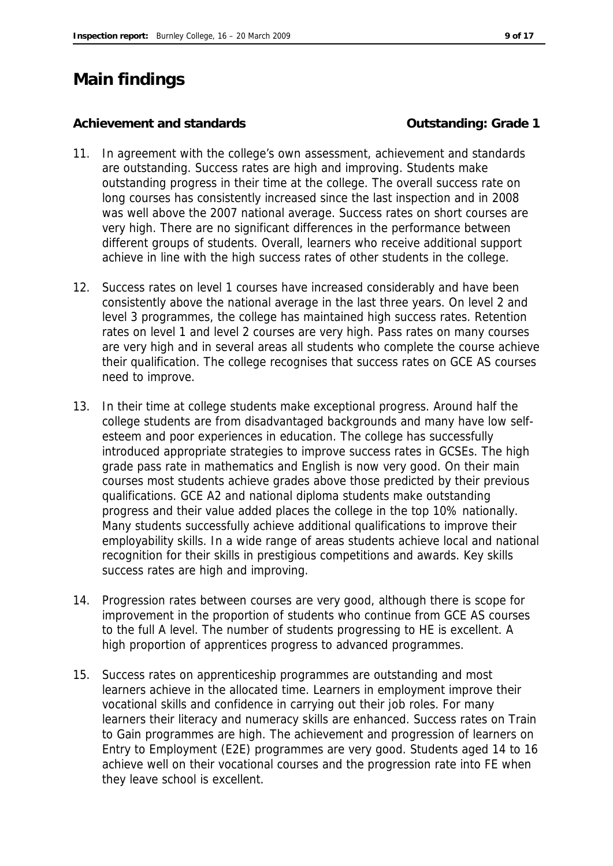# **Main findings**

#### Achievement and standards **Container and Standards Container and Standards Container and Standards Container and Standards Container and Standards Container and Standards Container and Standards Container and**

- 11. In agreement with the college's own assessment, achievement and standards are outstanding. Success rates are high and improving. Students make outstanding progress in their time at the college. The overall success rate on long courses has consistently increased since the last inspection and in 2008 was well above the 2007 national average. Success rates on short courses are very high. There are no significant differences in the performance between different groups of students. Overall, learners who receive additional support achieve in line with the high success rates of other students in the college.
- 12. Success rates on level 1 courses have increased considerably and have been consistently above the national average in the last three years. On level 2 and level 3 programmes, the college has maintained high success rates. Retention rates on level 1 and level 2 courses are very high. Pass rates on many courses are very high and in several areas all students who complete the course achieve their qualification. The college recognises that success rates on GCE AS courses need to improve.
- 13. In their time at college students make exceptional progress. Around half the college students are from disadvantaged backgrounds and many have low selfesteem and poor experiences in education. The college has successfully introduced appropriate strategies to improve success rates in GCSEs. The high grade pass rate in mathematics and English is now very good. On their main courses most students achieve grades above those predicted by their previous qualifications. GCE A2 and national diploma students make outstanding progress and their value added places the college in the top 10% nationally. Many students successfully achieve additional qualifications to improve their employability skills. In a wide range of areas students achieve local and national recognition for their skills in prestigious competitions and awards. Key skills success rates are high and improving.
- 14. Progression rates between courses are very good, although there is scope for improvement in the proportion of students who continue from GCE AS courses to the full A level. The number of students progressing to HE is excellent. A high proportion of apprentices progress to advanced programmes.
- 15. Success rates on apprenticeship programmes are outstanding and most learners achieve in the allocated time. Learners in employment improve their vocational skills and confidence in carrying out their job roles. For many learners their literacy and numeracy skills are enhanced. Success rates on Train to Gain programmes are high. The achievement and progression of learners on Entry to Employment (E2E) programmes are very good. Students aged 14 to 16 achieve well on their vocational courses and the progression rate into FE when they leave school is excellent.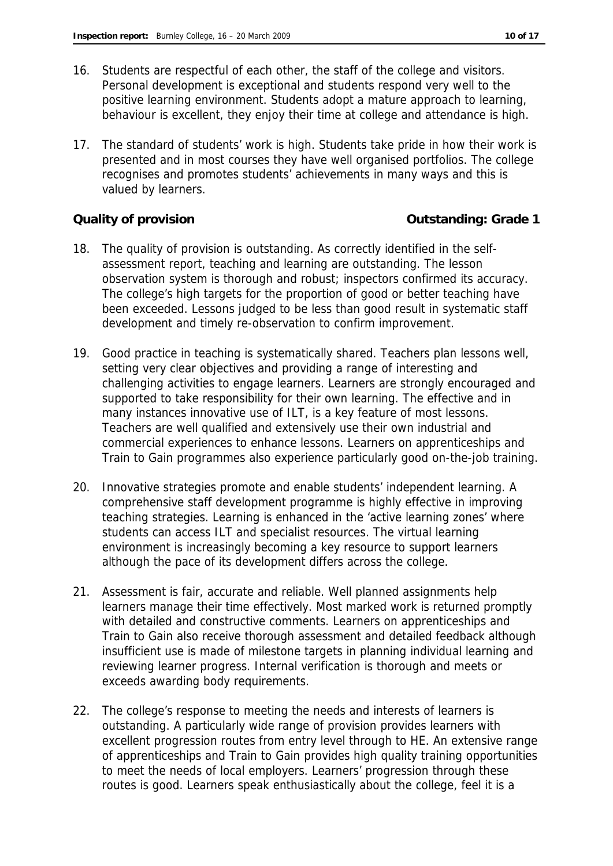- 16. Students are respectful of each other, the staff of the college and visitors. Personal development is exceptional and students respond very well to the positive learning environment. Students adopt a mature approach to learning, behaviour is excellent, they enjoy their time at college and attendance is high.
- 17. The standard of students' work is high. Students take pride in how their work is presented and in most courses they have well organised portfolios. The college recognises and promotes students' achievements in many ways and this is valued by learners.

**Quality of provision COUNTER 1 COULD ATTENT COULD ATTENT COULD ATTACK ATTACK OF A COULD ATTACK OF A COULD A COULD A COULD A COULD A COULD A COULD A COULD A COULD A COULD A COULD A COULD A COULD A COULD A COULD A COULD** 

- 18. The quality of provision is outstanding. As correctly identified in the selfassessment report, teaching and learning are outstanding. The lesson observation system is thorough and robust; inspectors confirmed its accuracy. The college's high targets for the proportion of good or better teaching have been exceeded. Lessons judged to be less than good result in systematic staff development and timely re-observation to confirm improvement.
- 19. Good practice in teaching is systematically shared. Teachers plan lessons well, setting very clear objectives and providing a range of interesting and challenging activities to engage learners. Learners are strongly encouraged and supported to take responsibility for their own learning. The effective and in many instances innovative use of ILT, is a key feature of most lessons. Teachers are well qualified and extensively use their own industrial and commercial experiences to enhance lessons. Learners on apprenticeships and Train to Gain programmes also experience particularly good on-the-job training.
- 20. Innovative strategies promote and enable students' independent learning. A comprehensive staff development programme is highly effective in improving teaching strategies. Learning is enhanced in the 'active learning zones' where students can access ILT and specialist resources. The virtual learning environment is increasingly becoming a key resource to support learners although the pace of its development differs across the college.
- 21. Assessment is fair, accurate and reliable. Well planned assignments help learners manage their time effectively. Most marked work is returned promptly with detailed and constructive comments. Learners on apprenticeships and Train to Gain also receive thorough assessment and detailed feedback although insufficient use is made of milestone targets in planning individual learning and reviewing learner progress. Internal verification is thorough and meets or exceeds awarding body requirements.
- 22. The college's response to meeting the needs and interests of learners is outstanding. A particularly wide range of provision provides learners with excellent progression routes from entry level through to HE. An extensive range of apprenticeships and Train to Gain provides high quality training opportunities to meet the needs of local employers. Learners' progression through these routes is good. Learners speak enthusiastically about the college, feel it is a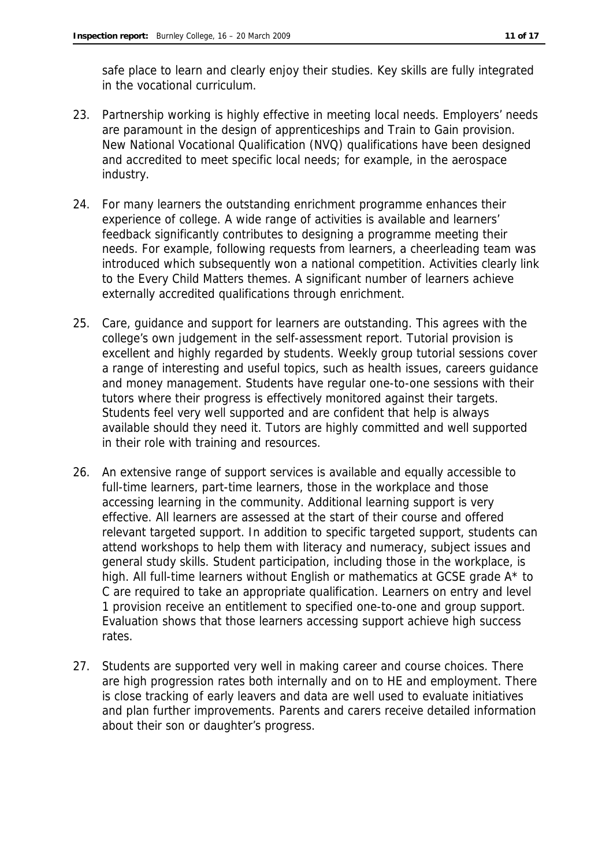safe place to learn and clearly enjoy their studies. Key skills are fully integrated in the vocational curriculum.

- 23. Partnership working is highly effective in meeting local needs. Employers' needs are paramount in the design of apprenticeships and Train to Gain provision. New National Vocational Qualification (NVQ) qualifications have been designed and accredited to meet specific local needs; for example, in the aerospace industry.
- 24. For many learners the outstanding enrichment programme enhances their experience of college. A wide range of activities is available and learners' feedback significantly contributes to designing a programme meeting their needs. For example, following requests from learners, a cheerleading team was introduced which subsequently won a national competition. Activities clearly link to the Every Child Matters themes. A significant number of learners achieve externally accredited qualifications through enrichment.
- 25. Care, guidance and support for learners are outstanding. This agrees with the college's own judgement in the self-assessment report. Tutorial provision is excellent and highly regarded by students. Weekly group tutorial sessions cover a range of interesting and useful topics, such as health issues, careers guidance and money management. Students have regular one-to-one sessions with their tutors where their progress is effectively monitored against their targets. Students feel very well supported and are confident that help is always available should they need it. Tutors are highly committed and well supported in their role with training and resources.
- 26. An extensive range of support services is available and equally accessible to full-time learners, part-time learners, those in the workplace and those accessing learning in the community. Additional learning support is very effective. All learners are assessed at the start of their course and offered relevant targeted support. In addition to specific targeted support, students can attend workshops to help them with literacy and numeracy, subject issues and general study skills. Student participation, including those in the workplace, is high. All full-time learners without English or mathematics at GCSE grade A\* to C are required to take an appropriate qualification. Learners on entry and level 1 provision receive an entitlement to specified one-to-one and group support. Evaluation shows that those learners accessing support achieve high success rates.
- 27. Students are supported very well in making career and course choices. There are high progression rates both internally and on to HE and employment. There is close tracking of early leavers and data are well used to evaluate initiatives and plan further improvements. Parents and carers receive detailed information about their son or daughter's progress.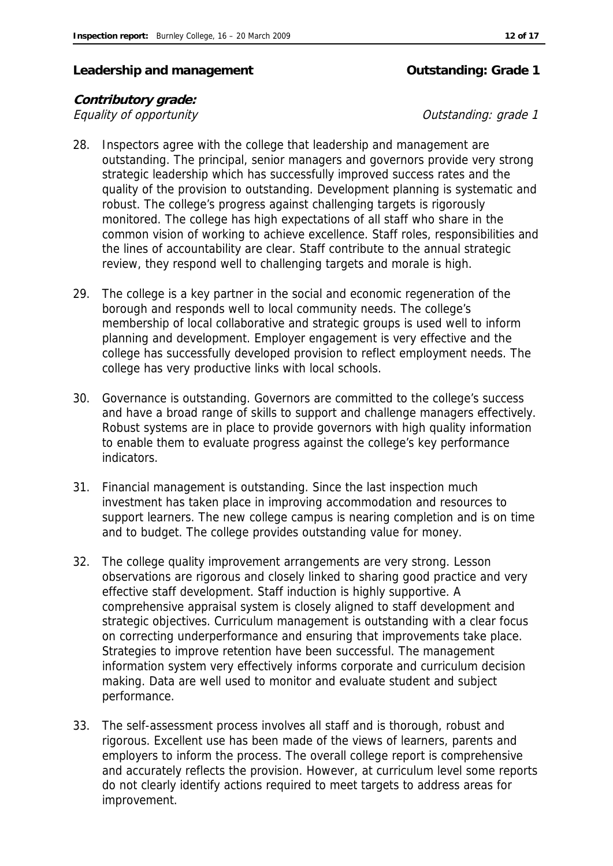#### Leadership and management **Contact Contact Contact Contact Contact Contact Contact Contact Contact Contact Contact Contact Contact Contact Contact Contact Contact Contact Contact Contact Contact Contact Contact Contact Con**

#### **Contributory grade:** Equality of opportunity  $\blacksquare$

- 28. Inspectors agree with the college that leadership and management are outstanding. The principal, senior managers and governors provide very strong strategic leadership which has successfully improved success rates and the quality of the provision to outstanding. Development planning is systematic and robust. The college's progress against challenging targets is rigorously monitored. The college has high expectations of all staff who share in the common vision of working to achieve excellence. Staff roles, responsibilities and the lines of accountability are clear. Staff contribute to the annual strategic review, they respond well to challenging targets and morale is high.
- 29. The college is a key partner in the social and economic regeneration of the borough and responds well to local community needs. The college's membership of local collaborative and strategic groups is used well to inform planning and development. Employer engagement is very effective and the college has successfully developed provision to reflect employment needs. The college has very productive links with local schools.
- 30. Governance is outstanding. Governors are committed to the college's success and have a broad range of skills to support and challenge managers effectively. Robust systems are in place to provide governors with high quality information to enable them to evaluate progress against the college's key performance indicators.
- 31. Financial management is outstanding. Since the last inspection much investment has taken place in improving accommodation and resources to support learners. The new college campus is nearing completion and is on time and to budget. The college provides outstanding value for money.
- 32. The college quality improvement arrangements are very strong. Lesson observations are rigorous and closely linked to sharing good practice and very effective staff development. Staff induction is highly supportive. A comprehensive appraisal system is closely aligned to staff development and strategic objectives. Curriculum management is outstanding with a clear focus on correcting underperformance and ensuring that improvements take place. Strategies to improve retention have been successful. The management information system very effectively informs corporate and curriculum decision making. Data are well used to monitor and evaluate student and subject performance.
- 33. The self-assessment process involves all staff and is thorough, robust and rigorous. Excellent use has been made of the views of learners, parents and employers to inform the process. The overall college report is comprehensive and accurately reflects the provision. However, at curriculum level some reports do not clearly identify actions required to meet targets to address areas for improvement.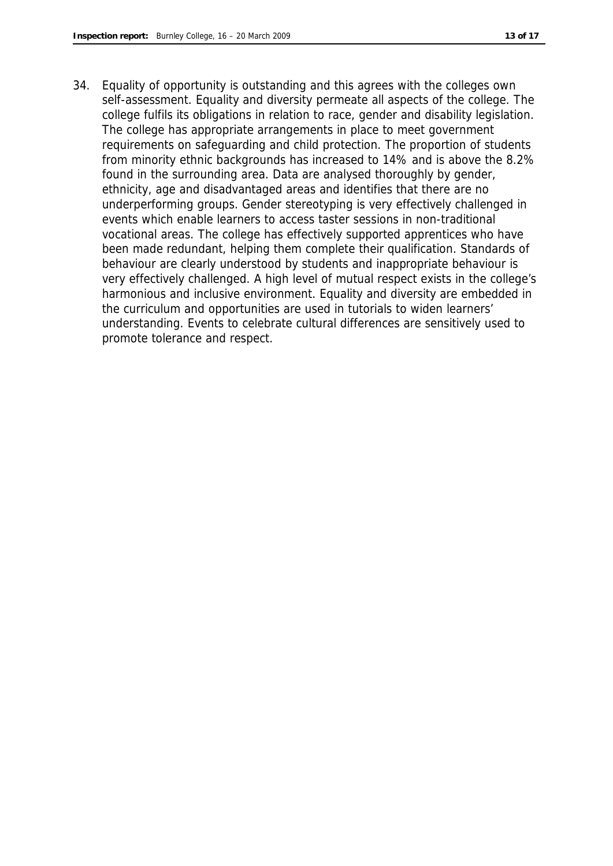34. Equality of opportunity is outstanding and this agrees with the colleges own self-assessment. Equality and diversity permeate all aspects of the college. The college fulfils its obligations in relation to race, gender and disability legislation. The college has appropriate arrangements in place to meet government requirements on safeguarding and child protection. The proportion of students from minority ethnic backgrounds has increased to 14% and is above the 8.2% found in the surrounding area. Data are analysed thoroughly by gender, ethnicity, age and disadvantaged areas and identifies that there are no underperforming groups. Gender stereotyping is very effectively challenged in events which enable learners to access taster sessions in non-traditional vocational areas. The college has effectively supported apprentices who have been made redundant, helping them complete their qualification. Standards of behaviour are clearly understood by students and inappropriate behaviour is very effectively challenged. A high level of mutual respect exists in the college's harmonious and inclusive environment. Equality and diversity are embedded in the curriculum and opportunities are used in tutorials to widen learners' understanding. Events to celebrate cultural differences are sensitively used to promote tolerance and respect.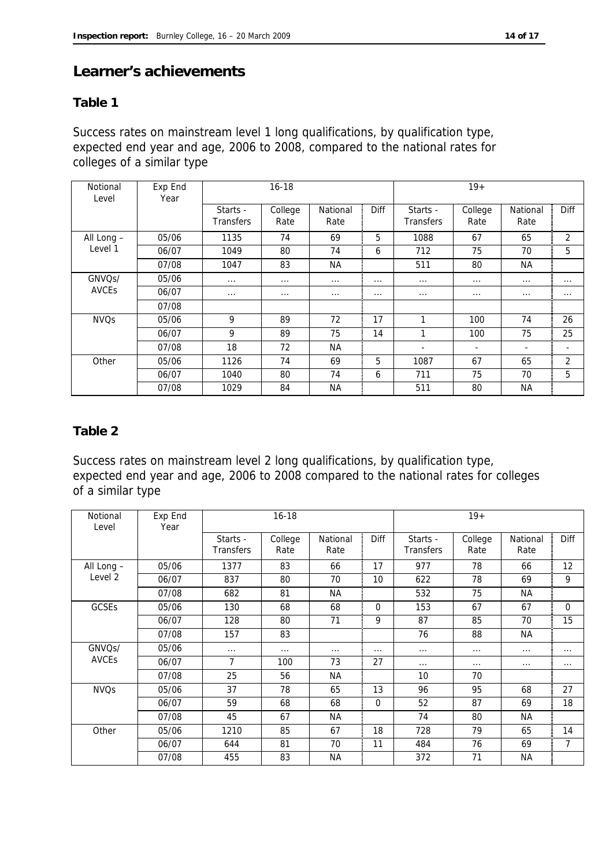#### **Learner's achievements**

#### **Table 1**

Success rates on mainstream level 1 long qualifications, by qualification type, expected end year and age, 2006 to 2008, compared to the national rates for colleges of a similar type

| Notional<br>Level      | Exp End<br>Year |                              | $16 - 18$       |                  |          |                              | $19+$           |                          |                          |
|------------------------|-----------------|------------------------------|-----------------|------------------|----------|------------------------------|-----------------|--------------------------|--------------------------|
|                        |                 | Starts -<br><b>Transfers</b> | College<br>Rate | National<br>Rate | Diff     | Starts -<br><b>Transfers</b> | College<br>Rate | National<br>Rate         | <b>Diff</b>              |
| All Long -             | 05/06           | 1135                         | 74              | 69               | 5        | 1088                         | 67              | 65                       | 2                        |
| Level 1                | 06/07           | 1049                         | 80              | 74               | 6        | 712                          | 75              | 70                       | 5                        |
|                        | 07/08           | 1047                         | 83              | NA.              |          | 511                          | 80              | NA.                      |                          |
| GNVQ <sub>S</sub> /    | 05/06           | $\cdots$                     | $\cdots$        | $\cdots$         | $\cdots$ | $\cdots$                     | $\cdots$        | $\cdots$                 | $\cdots$                 |
| <b>AVCES</b>           | 06/07           | $\cdots$                     | $\cdots$        | $\cdots$         | $\cdots$ | $\cdots$                     | $\cdots$        | $\cdots$                 | $\cdots$                 |
|                        | 07/08           |                              |                 |                  |          |                              |                 |                          |                          |
| <b>NVO<sub>S</sub></b> | 05/06           | 9                            | 89              | 72               | 17       | 1                            | 100             | 74                       | 26                       |
|                        | 06/07           | 9                            | 89              | 75               | 14       |                              | 100             | 75                       | 25                       |
|                        | 07/08           | 18                           | 72              | NA               |          | $\overline{\phantom{a}}$     | ٠               | $\overline{\phantom{a}}$ | $\overline{\phantom{a}}$ |
| Other                  | 05/06           | 1126                         | 74              | 69               | 5        | 1087                         | 67              | 65                       | $\overline{2}$           |
|                        | 06/07           | 1040                         | 80              | 74               | 6        | 711                          | 75              | 70                       | 5                        |
|                        | 07/08           | 1029                         | 84              | ΝA               |          | 511                          | 80              | <b>NA</b>                |                          |

#### **Table 2**

Success rates on mainstream level 2 long qualifications, by qualification type, expected end year and age, 2006 to 2008 compared to the national rates for colleges of a similar type

| Notional<br>Level      | Exp End<br>Year |                              | $16 - 18$       |                  |          |                       | $19+$           |                  |                |
|------------------------|-----------------|------------------------------|-----------------|------------------|----------|-----------------------|-----------------|------------------|----------------|
|                        |                 | Starts -<br><b>Transfers</b> | College<br>Rate | National<br>Rate | Diff     | Starts -<br>Transfers | College<br>Rate | National<br>Rate | Diff           |
| All Long -             | 05/06           | 1377                         | 83              | 66               | 17       | 977                   | 78              | 66               | 12             |
| Level <sub>2</sub>     | 06/07           | 837                          | 80              | 70               | 10       | 622                   | 78              | 69               | 9              |
|                        | 07/08           | 682                          | 81              | <b>NA</b>        |          | 532                   | 75              | <b>NA</b>        |                |
| <b>GCSEs</b>           | 05/06           | 130                          | 68              | 68               | 0        | 153                   | 67              | 67               | $\overline{0}$ |
|                        | 06/07           | 128                          | 80              | 71               | 9        | 87                    | 85              | 70               | 15             |
|                        | 07/08           | 157                          | 83              |                  |          | 76                    | 88              | <b>NA</b>        |                |
| GNVQ <sub>S</sub> /    | 05/06           | $\cdots$                     | $\cdots$        | $\cdots$         | $\cdots$ | $\cdots$              | $\cdots$        | $\cdots$         | $\cdots$       |
| <b>AVCEs</b>           | 06/07           | 7                            | 100             | 73               | 27       | $\cdots$              | $\cdots$        | $\cdots$         | $\cdots$       |
|                        | 07/08           | 25                           | 56              | NА               |          | 10                    | 70              |                  |                |
| <b>NVO<sub>S</sub></b> | 05/06           | 37                           | 78              | 65               | 13       | 96                    | 95              | 68               | 27             |
|                        | 06/07           | 59                           | 68              | 68               | 0        | 52                    | 87              | 69               | 18             |
|                        | 07/08           | 45                           | 67              | NА               |          | 74                    | 80              | NА               |                |
| Other                  | 05/06           | 1210                         | 85              | 67               | 18       | 728                   | 79              | 65               | 14             |
|                        | 06/07           | 644                          | 81              | 70               | 11       | 484                   | 76              | 69               | 7              |
|                        | 07/08           | 455                          | 83              | NА               |          | 372                   | 71              | NА               |                |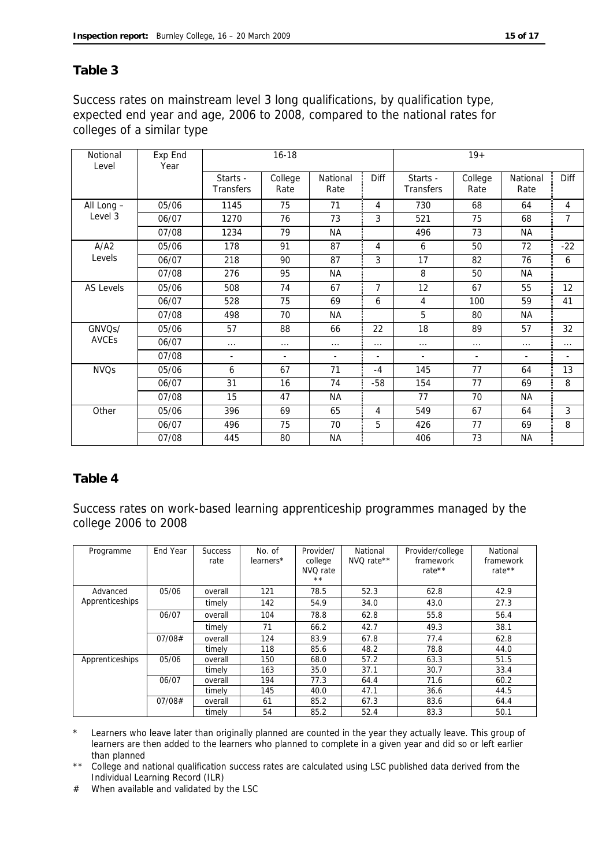#### **Table 3**

Success rates on mainstream level 3 long qualifications, by qualification type, expected end year and age, 2006 to 2008, compared to the national rates for colleges of a similar type

| Notional<br>Level | Exp End<br>Year |                              | $16 - 18$                |                  |                |                              | $19+$           |                  |          |
|-------------------|-----------------|------------------------------|--------------------------|------------------|----------------|------------------------------|-----------------|------------------|----------|
|                   |                 | Starts -<br><b>Transfers</b> | College<br>Rate          | National<br>Rate | <b>Diff</b>    | Starts -<br><b>Transfers</b> | College<br>Rate | National<br>Rate | Diff     |
| All Long -        | 05/06           | 1145                         | 75                       | 71               | $\overline{4}$ | 730                          | 68              | 64               | 4        |
| Level 3           | 06/07           | 1270                         | 76                       | 73               | $\mathbf{3}$   | 521                          | 75              | 68               | 7        |
|                   | 07/08           | 1234                         | 79                       | NА               |                | 496                          | 73              | NА               |          |
| A/A2              | 05/06           | 178                          | 91                       | 87               | 4              | 6                            | 50              | 72               | $-22$    |
| Levels            | 06/07           | 218                          | 90                       | 87               | 3              | 17                           | 82              | 76               | 6        |
|                   | 07/08           | 276                          | 95                       | <b>NA</b>        |                | 8                            | 50              | <b>NA</b>        |          |
| <b>AS Levels</b>  | 05/06           | 508                          | 74                       | 67               | $\overline{7}$ | 12                           | 67              | 55               | 12       |
|                   | 06/07           | 528                          | 75                       | 69               | 6              | 4                            | 100             | 59               | 41       |
|                   | 07/08           | 498                          | 70                       | <b>NA</b>        |                | 5                            | 80              | ΝA               |          |
| GNVQs/            | 05/06           | 57                           | 88                       | 66               | 22             | 18                           | 89              | 57               | 32       |
| <b>AVCEs</b>      | 06/07           | $\cdots$                     | .                        | $\cdots$         | .              | $\cdots$                     | .               | $\cdots$         | $\cdots$ |
|                   | 07/08           | $\blacksquare$               | $\overline{\phantom{a}}$ | ٠                |                | $\overline{\phantom{a}}$     | ÷.              | ٠                | ÷.       |
| <b>NVQs</b>       | 05/06           | 6                            | 67                       | 71               | $-4$           | 145                          | 77              | 64               | 13       |
|                   | 06/07           | 31                           | 16                       | 74               | $-58$          | 154                          | 77              | 69               | 8        |
|                   | 07/08           | 15                           | 47                       | <b>NA</b>        |                | 77                           | 70              | <b>NA</b>        |          |
| Other             | 05/06           | 396                          | 69                       | 65               | $\overline{4}$ | 549                          | 67              | 64               | 3        |
|                   | 06/07           | 496                          | 75                       | 70               | 5              | 426                          | 77              | 69               | 8        |
|                   | 07/08           | 445                          | 80                       | <b>NA</b>        |                | 406                          | 73              | <b>NA</b>        |          |

#### **Table 4**

Success rates on work-based learning apprenticeship programmes managed by the college 2006 to 2008

| Programme       | End Year | <b>Success</b><br>rate | No. of<br>learners* | Provider/<br>college<br>NVO rate<br>$***$ | National<br>NVQ rate** | Provider/college<br>framework<br>rate $**$ | National<br>framework<br>rate** |
|-----------------|----------|------------------------|---------------------|-------------------------------------------|------------------------|--------------------------------------------|---------------------------------|
| Advanced        | 05/06    | overall                | 121                 | 78.5                                      | 52.3                   | 62.8                                       | 42.9                            |
| Apprenticeships |          | timely                 | 142                 | 54.9                                      | 34.0                   | 43.0                                       | 27.3                            |
|                 | 06/07    | overall                | 104                 | 78.8                                      | 62.8                   | 55.8                                       | 56.4                            |
|                 |          | timely                 | 71                  | 66.2                                      | 42.7                   | 49.3                                       | 38.1                            |
|                 | 07/08#   | overall                | 124                 | 83.9                                      | 67.8                   | 77.4                                       | 62.8                            |
|                 |          | timely                 | 118                 | 85.6                                      | 48.2                   | 78.8                                       | 44.0                            |
| Apprenticeships | 05/06    | overall                | 150                 | 68.0                                      | 57.2                   | 63.3                                       | 51.5                            |
|                 |          | timely                 | 163                 | 35.0                                      | 37.1                   | 30.7                                       | 33.4                            |
|                 | 06/07    | overall                | 194                 | 77.3                                      | 64.4                   | 71.6                                       | 60.2                            |
|                 |          | timely                 | 145                 | 40.0                                      | 47.1                   | 36.6                                       | 44.5                            |
|                 | 07/08#   | overall                | 61                  | 85.2                                      | 67.3                   | 83.6                                       | 64.4                            |
|                 |          | timely                 | 54                  | 85.2                                      | 52.4                   | 83.3                                       | 50.1                            |

Learners who leave later than originally planned are counted in the year they actually leave. This group of learners are then added to the learners who planned to complete in a given year and did so or left earlier than planned

\*\* College and national qualification success rates are calculated using LSC published data derived from the Individual Learning Record (ILR)

# When available and validated by the LSC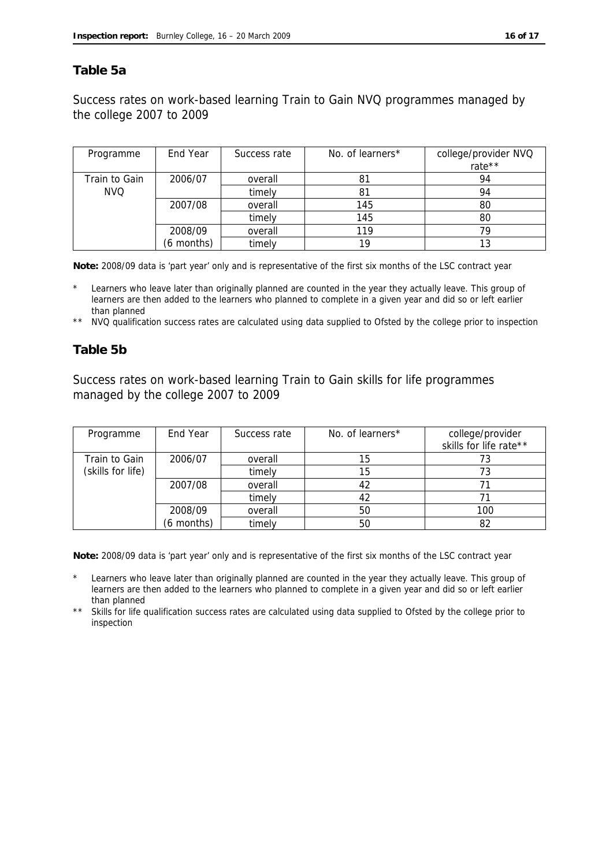#### **Table 5a**

Success rates on work-based learning Train to Gain NVQ programmes managed by the college 2007 to 2009

| Programme     | End Year   | Success rate | No. of learners* | college/provider NVQ<br>rate** |
|---------------|------------|--------------|------------------|--------------------------------|
| Train to Gain | 2006/07    | overall      | 81               | 94                             |
| NVQ.          |            | timely       | 81               | 94                             |
|               | 2007/08    | overall      | 145              | 80                             |
|               |            | timely       | 145              | 80                             |
|               | 2008/09    | overall      | 119              | 70                             |
|               | (6 months) | timely       | 19               |                                |

**Note:** 2008/09 data is 'part year' only and is representative of the first six months of the LSC contract year

Learners who leave later than originally planned are counted in the year they actually leave. This group of learners are then added to the learners who planned to complete in a given year and did so or left earlier than planned

\*\* NVQ qualification success rates are calculated using data supplied to Ofsted by the college prior to inspection

#### **Table 5b**

Success rates on work-based learning Train to Gain skills for life programmes managed by the college 2007 to 2009

| Programme         | End Year   | Success rate | No. of learners* | college/provider<br>skills for life rate** |
|-------------------|------------|--------------|------------------|--------------------------------------------|
| Train to Gain     | 2006/07    | overall      | 15               | 73                                         |
| (skills for life) |            | timely       | 15               |                                            |
|                   | 2007/08    | overall      | 42               |                                            |
|                   |            | timely       | 42               |                                            |
|                   | 2008/09    | overall      | 50               | 100                                        |
|                   | (6 months) | timely       | 50               |                                            |

**Note:** 2008/09 data is 'part year' only and is representative of the first six months of the LSC contract year

Learners who leave later than originally planned are counted in the year they actually leave. This group of learners are then added to the learners who planned to complete in a given year and did so or left earlier than planned

\*\* Skills for life qualification success rates are calculated using data supplied to Ofsted by the college prior to inspection